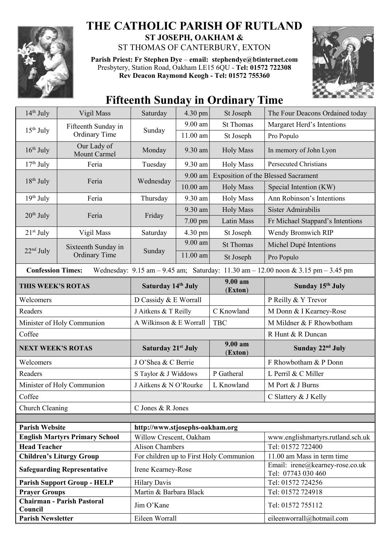

## **THE CATHOLIC PARISH OF RUTLAND ST JOSEPH, OAKHAM &**  ST THOMAS OF CANTERBURY, EXTON

**Parish Priest: Fr Stephen Dye** – **[email: stephendye@btinternet.com](mailto:email:%20%20stephendye@btinternet.com)** Presbytery, Station Road, Oakham LE15 6QU - **Tel: 01572 722308 Rev Deacon Raymond Keogh - Tel: 01572 755360**



## **Fifteenth Sunday in Ordinary Time**

| $14th$ July                                                                                                                                                         | Vigil Mass                                  | Saturday                                          | 4.30 pm    | St Joseph             | The Four Deacons Ordained today                        |  |
|---------------------------------------------------------------------------------------------------------------------------------------------------------------------|---------------------------------------------|---------------------------------------------------|------------|-----------------------|--------------------------------------------------------|--|
| $15th$ July                                                                                                                                                         | Fifteenth Sunday in<br><b>Ordinary Time</b> | Sunday                                            | $9.00$ am  | <b>St Thomas</b>      | Margaret Herd's Intentions                             |  |
|                                                                                                                                                                     |                                             |                                                   | $11.00$ am | St Joseph             | Pro Populo                                             |  |
| $16th$ July                                                                                                                                                         | Our Lady of<br>Mount Carmel                 | Monday                                            | 9.30 am    | <b>Holy Mass</b>      | In memory of John Lyon                                 |  |
| $17th$ July                                                                                                                                                         | Feria                                       | Tuesday                                           | 9.30 am    | <b>Holy Mass</b>      | <b>Persecuted Christians</b>                           |  |
| $18th$ July                                                                                                                                                         | Feria                                       | Wednesday                                         | 9.00 am    |                       | Exposition of the Blessed Sacrament                    |  |
|                                                                                                                                                                     |                                             |                                                   | $10.00$ am | <b>Holy Mass</b>      | Special Intention (KW)                                 |  |
| $19th$ July                                                                                                                                                         | Feria                                       | Thursday                                          | 9.30 am    | <b>Holy Mass</b>      | Ann Robinson's Intentions                              |  |
| $20th$ July                                                                                                                                                         | Feria                                       | Friday                                            | 9.30 am    | <b>Holy Mass</b>      | Sister Admirabilis                                     |  |
|                                                                                                                                                                     |                                             |                                                   | $7.00$ pm  | Latin Mass            | Fr Michael Stappard's Intentions                       |  |
| $21st$ July                                                                                                                                                         | Vigil Mass                                  | Saturday                                          | 4.30 pm    | St Joseph             | Wendy Bromwich RIP                                     |  |
| $22nd$ July                                                                                                                                                         | Sixteenth Sunday in<br><b>Ordinary Time</b> | Sunday                                            | 9.00 am    | <b>St Thomas</b>      | Michel Dupé Intentions                                 |  |
|                                                                                                                                                                     |                                             |                                                   | $11.00$ am | St Joseph             | Pro Populo                                             |  |
| <b>Confession Times:</b><br>Wednesday: $9.15 \text{ am} - 9.45 \text{ am}$ ; Saturday: $11.30 \text{ am} - 12.00 \text{ noon} \& 3.15 \text{ pm} - 3.45 \text{ pm}$ |                                             |                                                   |            |                       |                                                        |  |
| THIS WEEK'S ROTAS                                                                                                                                                   |                                             | Saturday 14th July                                |            | $9.00 a$ m<br>(Exton) | Sunday 15 <sup>th</sup> July                           |  |
| Welcomers                                                                                                                                                           |                                             | D Cassidy & E Worrall                             |            |                       | P Reilly & Y Trevor                                    |  |
| Readers                                                                                                                                                             |                                             | J Aitkens & T Reilly                              |            | C Knowland            | M Donn & I Kearney-Rose                                |  |
| Minister of Holy Communion                                                                                                                                          |                                             | A Wilkinson & E Worrall                           |            | <b>TBC</b>            | M Mildner & F Rhowbotham                               |  |
| Coffee                                                                                                                                                              |                                             |                                                   |            |                       | R Hunt & R Duncan                                      |  |
| <b>NEXT WEEK'S ROTAS</b>                                                                                                                                            |                                             | Saturday 21 <sup>st</sup> July                    |            | $9.00 a$ m<br>(Exton) | Sunday 22 <sup>nd</sup> July                           |  |
| Welcomers                                                                                                                                                           |                                             | J O'Shea & C Berrie                               |            |                       | F Rhowbotham & P Donn                                  |  |
| Readers                                                                                                                                                             |                                             | S Taylor & J Widdows                              |            | P Gatheral            | L Perril & C Miller                                    |  |
| Minister of Holy Communion                                                                                                                                          |                                             | J Aitkens & N O'Rourke                            |            | L Knowland            | M Port & J Burns                                       |  |
| Coffee                                                                                                                                                              |                                             |                                                   |            |                       | C Slattery & J Kelly                                   |  |
| Church Cleaning                                                                                                                                                     |                                             | C Jones & R Jones                                 |            |                       |                                                        |  |
|                                                                                                                                                                     |                                             |                                                   |            |                       |                                                        |  |
| <b>Parish Website</b>                                                                                                                                               |                                             | http://www.stjosephs-oakham.org                   |            |                       |                                                        |  |
| <b>English Martyrs Primary School</b><br><b>Head Teacher</b>                                                                                                        |                                             | Willow Crescent, Oakham<br><b>Alison Chambers</b> |            |                       | www.englishmartyrs.rutland.sch.uk<br>Tel: 01572 722400 |  |
| <b>Children's Liturgy Group</b>                                                                                                                                     |                                             | For children up to First Holy Communion           |            |                       | 11.00 am Mass in term time                             |  |
| <b>Safeguarding Representative</b>                                                                                                                                  |                                             | Irene Kearney-Rose                                |            |                       | Email: irene@kearney-rose.co.uk                        |  |
| <b>Parish Support Group - HELP</b>                                                                                                                                  |                                             | <b>Hilary Davis</b>                               |            |                       | Tel: 07743 030 460<br>Tel: 01572 724256                |  |
| <b>Prayer Groups</b>                                                                                                                                                |                                             | Martin & Barbara Black                            |            |                       | Tel: 01572 724918                                      |  |
| <b>Chairman - Parish Pastoral</b><br>Council                                                                                                                        |                                             | Jim O'Kane                                        |            |                       | Tel: 01572 755112                                      |  |
| <b>Parish Newsletter</b>                                                                                                                                            |                                             | Eileen Worrall                                    |            |                       | eileenworrall@hotmail.com                              |  |